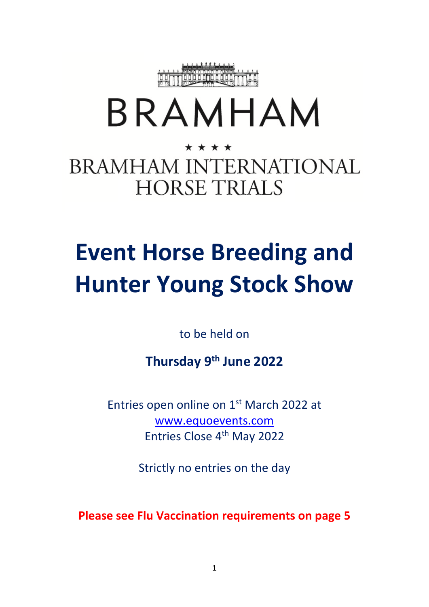

# BRAMHAM

### \* \* \* \* **BRAMHAM INTERNATIONAL HORSE TRIALS**

## **Event Horse Breeding and Hunter Young Stock Show**

to be held on

**Thursday 9 th June 2022**

Entries open online on 1<sup>st</sup> March 2022 at [www.equoevents.com](http://www.equoevents.com/) Entries Close 4<sup>th</sup> May 2022

Strictly no entries on the day

**Please see Flu Vaccination requirements on page 5**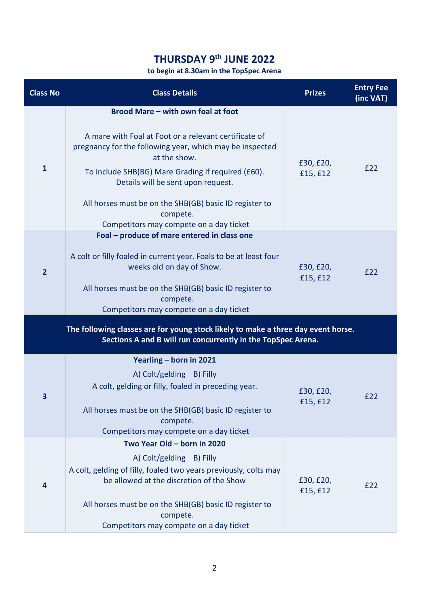#### **THURSDAY 9 th JUNE 2022**

#### **to begin at 8.30am in the TopSpec Arena**

| <b>Class No</b>                                                                                                                                   | <b>Class Details</b>                                                                                                                                                                                                                                                                                                                                                                 | <b>Prizes</b>         | <b>Entry Fee</b><br>(inc VAT) |  |  |  |
|---------------------------------------------------------------------------------------------------------------------------------------------------|--------------------------------------------------------------------------------------------------------------------------------------------------------------------------------------------------------------------------------------------------------------------------------------------------------------------------------------------------------------------------------------|-----------------------|-------------------------------|--|--|--|
| $\mathbf{1}$                                                                                                                                      | Brood Mare - with own foal at foot<br>A mare with Foal at Foot or a relevant certificate of<br>pregnancy for the following year, which may be inspected<br>at the show.<br>To include SHB(BG) Mare Grading if required (£60).<br>Details will be sent upon request.<br>All horses must be on the SHB(GB) basic ID register to<br>compete.<br>Competitors may compete on a day ticket | £30, £20,<br>£15, £12 | £22                           |  |  |  |
| $\overline{2}$                                                                                                                                    | Foal - produce of mare entered in class one<br>A colt or filly foaled in current year. Foals to be at least four<br>weeks old on day of Show.<br>All horses must be on the SHB(GB) basic ID register to<br>compete.<br>Competitors may compete on a day ticket                                                                                                                       | £30, £20,<br>£15, £12 | £22                           |  |  |  |
| The following classes are for young stock likely to make a three day event horse.<br>Sections A and B will run concurrently in the TopSpec Arena. |                                                                                                                                                                                                                                                                                                                                                                                      |                       |                               |  |  |  |
| 3                                                                                                                                                 | Yearling - born in 2021<br>A) Colt/gelding B) Filly<br>A colt, gelding or filly, foaled in preceding year.<br>All horses must be on the SHB(GB) basic ID register to<br>compete.<br>Competitors may compete on a day ticket                                                                                                                                                          | £30, £20,<br>£15, £12 | £22                           |  |  |  |
| 4                                                                                                                                                 | Two Year Old - born in 2020<br>A) Colt/gelding B) Filly<br>A colt, gelding of filly, foaled two years previously, colts may<br>be allowed at the discretion of the Show<br>All horses must be on the SHB(GB) basic ID register to<br>compete.<br>Competitors may compete on a day ticket                                                                                             | £30, £20,<br>£15, £12 | £22                           |  |  |  |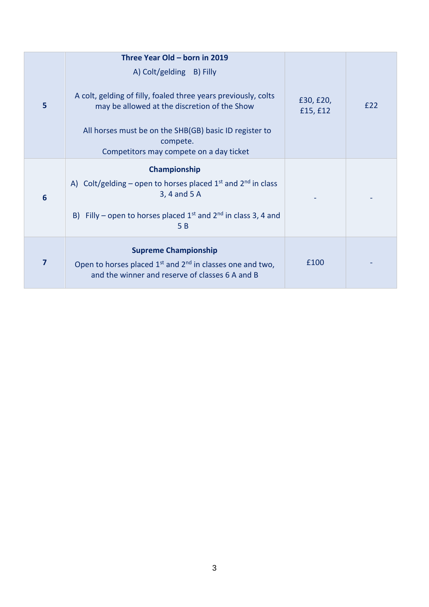| 5 | Three Year Old - born in 2019                                                                                                        |                       |     |
|---|--------------------------------------------------------------------------------------------------------------------------------------|-----------------------|-----|
|   | A) Colt/gelding B) Filly                                                                                                             |                       |     |
|   | A colt, gelding of filly, foaled three years previously, colts<br>may be allowed at the discretion of the Show                       | £30, £20,<br>£15, £12 | E22 |
|   | All horses must be on the SHB(GB) basic ID register to<br>compete.<br>Competitors may compete on a day ticket                        |                       |     |
| 6 | Championship                                                                                                                         |                       |     |
|   | A) Colt/gelding – open to horses placed $1^{st}$ and $2^{nd}$ in class<br>3, 4 and 5 A                                               |                       |     |
|   | B) Filly – open to horses placed $1^{st}$ and $2^{nd}$ in class 3, 4 and<br>5 B                                                      |                       |     |
| 7 | <b>Supreme Championship</b>                                                                                                          |                       |     |
|   | Open to horses placed 1 <sup>st</sup> and 2 <sup>nd</sup> in classes one and two,<br>and the winner and reserve of classes 6 A and B | £100                  |     |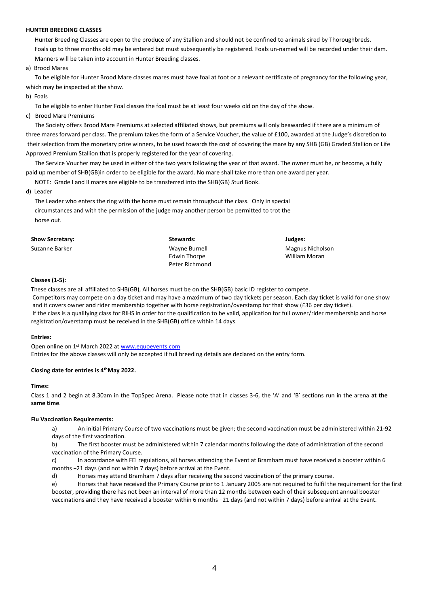#### **HUNTER BREEDING CLASSES**

 Hunter Breeding Classes are open to the produce of any Stallion and should not be confined to animals sired by Thoroughbreds. Foals up to three months old may be entered but must subsequently be registered. Foals un-named will be recorded under their dam. Manners will be taken into account in Hunter Breeding classes.

a) Brood Mares

 To be eligible for Hunter Brood Mare classes mares must have foal at foot or a relevant certificate of pregnancy for the following year, which may be inspected at the show.

b) Foals

To be eligible to enter Hunter Foal classes the foal must be at least four weeks old on the day of the show.

c) Brood Mare Premiums

 The Society offers Brood Mare Premiums at selected affiliated shows, but premiums will only beawarded if there are a minimum of three mares forward per class. The premium takes the form of a Service Voucher, the value of £100, awarded at the Judge's discretion to their selection from the monetary prize winners, to be used towards the cost of covering the mare by any SHB (GB) Graded Stallion or Life Approved Premium Stallion that is properly registered for the year of covering.

 The Service Voucher may be used in either of the two years following the year of that award. The owner must be, or become, a fully paid up member of SHB(GB)in order to be eligible for the award. No mare shall take more than one award per year.

NOTE: Grade I and II mares are eligible to be transferred into the SHB(GB) Stud Book.

d) Leader

 The Leader who enters the ring with the horse must remain throughout the class. Only in special circumstances and with the permission of the judge may another person be permitted to trot the horse out.

| <b>Show Secretary:</b> | Stewards:      | Judges: |
|------------------------|----------------|---------|
| Suzanne Barker         | Wayne Burnell  | Magnus  |
|                        | Edwin Thorpe   | William |
|                        | Peter Richmond |         |

#### **Classes (1-5):**

These classes are all affiliated to SHB(GB), All horses must be on the SHB(GB) basic ID register to compete. Competitors may compete on a day ticket and may have a maximum of two day tickets per season. Each day ticket is valid for one show and it covers owner and rider membership together with horse registration/overstamp for that show (£36 per day ticket). If the class is a qualifying class for RIHS in order for the qualification to be valid, application for full owner/rider membership and horse registration/overstamp must be received in the SHB(GB) office within 14 days.

Magnus Nicholson William Moran

#### **Entries:**

Open online on 1<sup>st</sup> March 2022 a[t www.equoevents.com](http://www.equoevents.com/) Entries for the above classes will only be accepted if full breeding details are declared on the entry form.

#### **Closing date for entries is 4 thMay 2022.**

#### **Times:**

Class 1 and 2 begin at 8.30am in the TopSpec Arena. Please note that in classes 3-6, the 'A' and 'B' sections run in the arena **at the same time**.

#### **Flu Vaccination Requirements:**

a) An initial Primary Course of two vaccinations must be given; the second vaccination must be administered within 21-92 days of the first vaccination.

b) The first booster must be administered within 7 calendar months following the date of administration of the second vaccination of the Primary Course.

c) In accordance with FEI regulations, all horses attending the Event at Bramham must have received a booster within 6 months +21 days (and not within 7 days) before arrival at the Event.

d) Horses may attend Bramham 7 days after receiving the second vaccination of the primary course.

e) Horses that have received the Primary Course prior to 1 January 2005 are not required to fulfil the requirement for the first booster, providing there has not been an interval of more than 12 months between each of their subsequent annual booster vaccinations and they have received a booster within 6 months +21 days (and not within 7 days) before arrival at the Event.